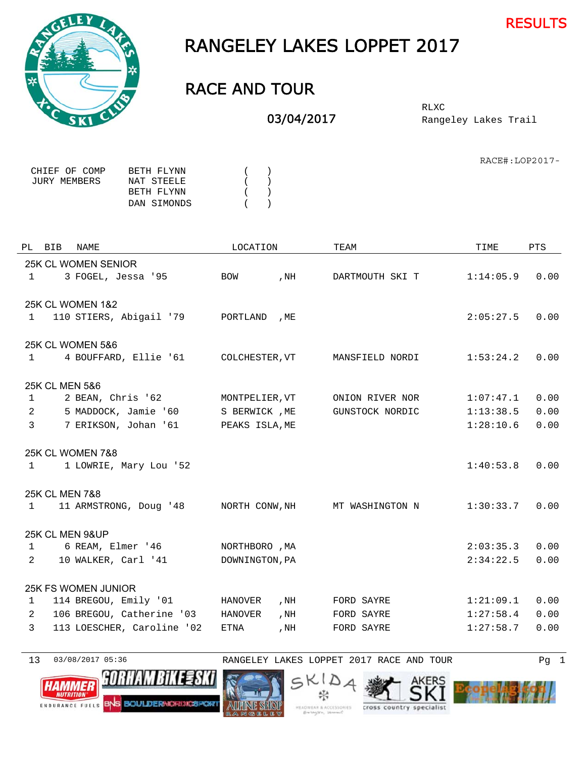



## RANGELEY LAKES LOPPET 2017

## RACE AND TOUR

03/04/2017

Rangeley Lakes Trail RLXC

RACE#:LOP2017-

| CHIEF OF COMP | BETH FLYNN  |   | ( |
|---------------|-------------|---|---|
| JURY MEMBERS  | NAT STEELE  |   | ( |
|               | BETH FLYNN  | ( |   |
|               | DAN SIMONDS | ( |   |

|                | PL BIB | NAME                        | LOCATION       |      | TEAM            |           |      | TIME | PTS |
|----------------|--------|-----------------------------|----------------|------|-----------------|-----------|------|------|-----|
|                |        | 25K CL WOMEN SENIOR         |                |      |                 |           |      |      |     |
| $\mathbf{1}$   |        | 3 FOGEL, Jessa '95          | <b>BOW</b>     | , NH | DARTMOUTH SKI T | 1:14:05.9 | 0.00 |      |     |
|                |        |                             |                |      |                 |           |      |      |     |
|                |        | 25K CL WOMEN 1&2            |                |      |                 |           |      |      |     |
| 1              |        | 110 STIERS, Abigail '79     | PORTLAND       | , ME |                 | 2:05:27.5 | 0.00 |      |     |
|                |        |                             |                |      |                 |           |      |      |     |
|                |        | <b>25K CL WOMEN 5&amp;6</b> |                |      |                 |           |      |      |     |
| $\mathbf{1}$   |        | 4 BOUFFARD, Ellie '61       | COLCHESTER, VT |      | MANSFIELD NORDI | 1:53:24.2 | 0.00 |      |     |
|                |        |                             |                |      |                 |           |      |      |     |
|                |        | 25K CL MEN 5&6              |                |      |                 |           |      |      |     |
| $\mathbf{1}$   |        | 2 BEAN, Chris '62           | MONTPELIER, VT |      | ONION RIVER NOR | 1:07:47.1 | 0.00 |      |     |
| 2              |        | 5 MADDOCK, Jamie '60        | S BERWICK , ME |      | GUNSTOCK NORDIC | 1:13:38.5 | 0.00 |      |     |
| 3              |        | 7 ERIKSON, Johan '61        | PEAKS ISLA, ME |      |                 | 1:28:10.6 | 0.00 |      |     |
|                |        | <b>25K CL WOMEN 7&amp;8</b> |                |      |                 |           |      |      |     |
| $\mathbf{1}$   |        | 1 LOWRIE, Mary Lou '52      |                |      |                 | 1:40:53.8 | 0.00 |      |     |
|                |        |                             |                |      |                 |           |      |      |     |
|                |        | 25K CL MEN 7&8              |                |      |                 |           |      |      |     |
| 1              |        | 11 ARMSTRONG, Doug '48      | NORTH CONW, NH |      | MT WASHINGTON N | 1:30:33.7 | 0.00 |      |     |
|                |        |                             |                |      |                 |           |      |      |     |
|                |        | 25K CL MEN 9&UP             |                |      |                 |           |      |      |     |
| $\mathbf{1}$   |        | 6 REAM, Elmer '46           | NORTHBORO , MA |      |                 | 2:03:35.3 | 0.00 |      |     |
| $\overline{2}$ |        | 10 WALKER, Carl '41         | DOWNINGTON, PA |      |                 | 2:34:22.5 | 0.00 |      |     |
|                |        |                             |                |      |                 |           |      |      |     |
|                |        | <b>25K FS WOMEN JUNIOR</b>  |                |      |                 |           |      |      |     |
| 1              |        | 114 BREGOU, Emily '01       | <b>HANOVER</b> | , NH | FORD SAYRE      | 1:21:09.1 | 0.00 |      |     |
| 2              |        | 106 BREGOU, Catherine '03   | <b>HANOVER</b> | , NH | FORD SAYRE      | 1:27:58.4 | 0.00 |      |     |
| 3              |        | 113 LOESCHER, Caroline '02  | ETNA           | , NH | FORD SAYRE      | 1:27:58.7 | 0.00 |      |     |
|                |        |                             |                |      |                 |           |      |      |     |

13 03/08/2017 05:36 RANGELEY LAKES LOPPET 2017 RACE AND TOUR Pg 1









₩

EADWEAR & ACCESSORIES



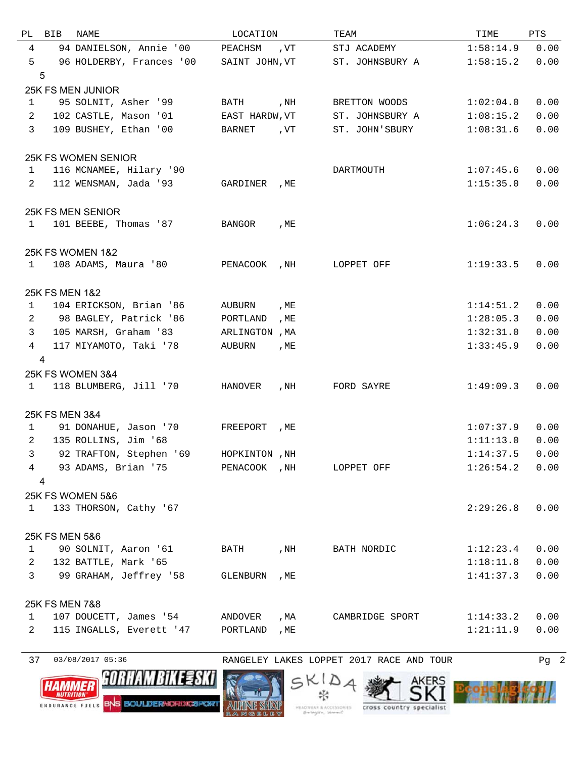| PL             | BIB            | NAME                              | LOCATION       |      | TEAM                     | TIME      | PTS  |
|----------------|----------------|-----------------------------------|----------------|------|--------------------------|-----------|------|
| 4              |                | 94 DANIELSON, Annie '00           | PEACHSM        | , VT | STJ ACADEMY              | 1:58:14.9 | 0.00 |
| 5              |                | 96 HOLDERBY, Frances '00          | SAINT JOHN, VT |      | ST. JOHNSBURY A          | 1:58:15.2 | 0.00 |
|                | 5              |                                   |                |      |                          |           |      |
|                |                | 25K FS MEN JUNIOR                 |                |      |                          |           |      |
| $\mathbf{1}$   |                | 95 SOLNIT, Asher '99              | BATH           | , NH | BRETTON WOODS            | 1:02:04.0 | 0.00 |
| 2              |                | 102 CASTLE, Mason '01             | EAST HARDW, VT |      | ST. JOHNSBURY A          | 1:08:15.2 | 0.00 |
| $\overline{3}$ |                | 109 BUSHEY, Ethan '00             | BARNET         | , VT | ST. JOHN'SBURY           | 1:08:31.6 | 0.00 |
|                |                | <b>25K FS WOMEN SENIOR</b>        |                |      |                          |           |      |
| $\mathbf{1}$   |                | 116 MCNAMEE, Hilary '90           |                |      | DARTMOUTH                | 1:07:45.6 | 0.00 |
| 2              |                | 112 WENSMAN, Jada '93             | GARDINER       | , ME |                          | 1:15:35.0 | 0.00 |
|                |                |                                   |                |      |                          |           |      |
|                |                | 25K FS MEN SENIOR                 |                |      |                          |           |      |
| 1              |                | 101 BEEBE, Thomas '87             | BANGOR         | , ME |                          | 1:06:24.3 | 0.00 |
|                |                | <b>25K FS WOMEN 1&amp;2</b>       |                |      |                          |           |      |
| 1              |                | 108 ADAMS, Maura '80              | PENACOOK       | , NH | LOPPET OFF               | 1:19:33.5 | 0.00 |
|                |                |                                   |                |      |                          |           |      |
|                | 25K FS MEN 1&2 |                                   |                |      |                          |           |      |
| 1              |                | 104 ERICKSON, Brian '86           | AUBURN         | , ME |                          | 1:14:51.2 | 0.00 |
| 2              |                | 98 BAGLEY, Patrick '86            | PORTLAND       | , ME |                          | 1:28:05.3 | 0.00 |
| 3              |                | 105 MARSH, Graham '83             | ARLINGTON , MA |      |                          | 1:32:31.0 | 0.00 |
| 4              | 4              | 117 MIYAMOTO, Taki '78            | AUBURN         | , ME |                          | 1:33:45.9 | 0.00 |
|                |                | 25K FS WOMEN 3&4                  |                |      |                          |           |      |
| 1              |                | 118 BLUMBERG, Jill '70            | HANOVER        | , NH | FORD SAYRE               | 1:49:09.3 | 0.00 |
|                |                |                                   |                |      |                          |           |      |
|                | 25K FS MEN 3&4 |                                   |                |      |                          |           |      |
| 1              |                | 91 DONAHUE, Jason '70             | FREEPORT       | , ME |                          | 1:07:37.9 | 0.00 |
| 2              |                | 135 ROLLINS, Jim '68              |                |      |                          | 1:11:13.0 | 0.00 |
| 3              |                | 92 TRAFTON, Stephen '69           | HOPKINTON, NH  |      |                          | 1:14:37.5 | 0.00 |
| 4              |                | 93 ADAMS, Brian '75               |                |      | PENACOOK , NH LOPPET OFF | 1:26:54.2 | 0.00 |
|                | 4              |                                   |                |      |                          |           |      |
|                |                | <b>25K FS WOMEN 5&amp;6</b>       |                |      |                          |           |      |
| $\mathbf{1}$   |                | 133 THORSON, Cathy '67            |                |      |                          | 2:29:26.8 | 0.00 |
|                | 25K FS MEN 5&6 |                                   |                |      |                          |           |      |
| $\mathbf{1}$   |                | 90 SOLNIT, Aaron '61              | BATH           | , NH | BATH NORDIC              | 1:12:23.4 | 0.00 |
| 2              |                | 132 BATTLE, Mark '65              |                |      |                          | 1:18:11.8 | 0.00 |
| $\mathbf{3}$   |                | 99 GRAHAM, Jeffrey '58            | GLENBURN       | , ME |                          | 1:41:37.3 | 0.00 |
|                |                |                                   |                |      |                          |           |      |
| $\mathbf{1}$   | 25K FS MEN 7&8 | 107 DOUCETT, James '54            | ANDOVER        | , MA | CAMBRIDGE SPORT          | 1:14:33.2 | 0.00 |
| $\overline{2}$ |                | 115 INGALLS, Everett '47 PORTLAND |                | , ME |                          | 1:21:11.9 | 0.00 |
|                |                |                                   |                |      |                          |           |      |

03/08/2017 05:36 RANGELEY LAKES LOPPET 2017 RACE AND TOUR Pg 2





SKIDA 柴



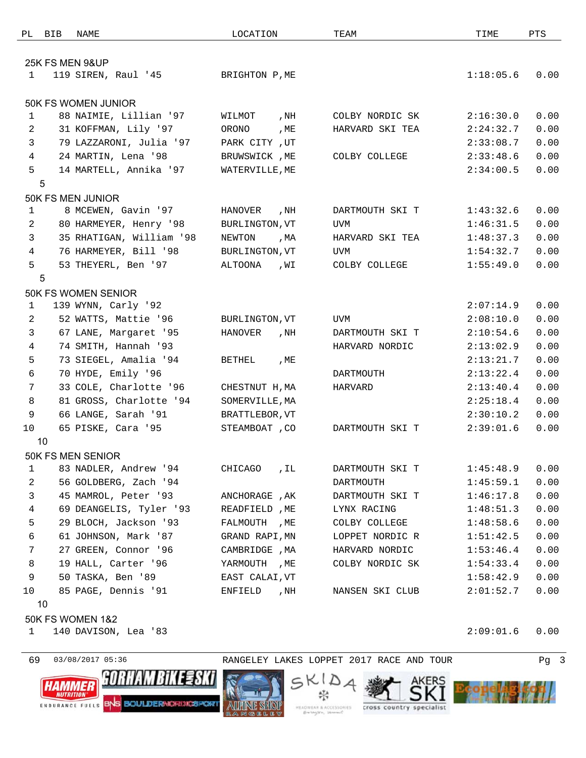| PL             | BIB | NAME                       | LOCATION       |      | TEAM            | TIME      | PTS  |  |
|----------------|-----|----------------------------|----------------|------|-----------------|-----------|------|--|
|                |     |                            |                |      |                 |           |      |  |
|                |     | 25K FS MEN 9&UP            |                |      |                 |           |      |  |
| 1              |     | 119 SIREN, Raul '45        | BRIGHTON P, ME |      |                 | 1:18:05.6 | 0.00 |  |
|                |     |                            |                |      |                 |           |      |  |
|                |     | <b>50K FS WOMEN JUNIOR</b> |                |      |                 |           |      |  |
| $\mathbf{1}$   |     | 88 NAIMIE, Lillian '97     | WILMOT         | , NH | COLBY NORDIC SK | 2:16:30.0 | 0.00 |  |
| 2              |     | 31 KOFFMAN, Lily '97       | ORONO          | , ME | HARVARD SKI TEA | 2:24:32.7 | 0.00 |  |
| 3              |     | 79 LAZZARONI, Julia '97    | PARK CITY, UT  |      |                 | 2:33:08.7 | 0.00 |  |
| $\overline{4}$ |     | 24 MARTIN, Lena '98        | BRUWSWICK , ME |      | COLBY COLLEGE   | 2:33:48.6 | 0.00 |  |
| 5              |     | 14 MARTELL, Annika '97     | WATERVILLE, ME |      |                 | 2:34:00.5 | 0.00 |  |
|                | 5   |                            |                |      |                 |           |      |  |
|                |     | 50K FS MEN JUNIOR          |                |      |                 |           |      |  |
| 1              |     | 8 MCEWEN, Gavin '97        | HANOVER        | , NH | DARTMOUTH SKI T | 1:43:32.6 | 0.00 |  |
| 2              |     | 80 HARMEYER, Henry '98     | BURLINGTON, VT |      | UVM             | 1:46:31.5 | 0.00 |  |
| 3              |     | 35 RHATIGAN, William '98   | NEWTON         | , MA | HARVARD SKI TEA | 1:48:37.3 | 0.00 |  |
| $\overline{4}$ |     | 76 HARMEYER, Bill '98      | BURLINGTON, VT |      | UVM             | 1:54:32.7 | 0.00 |  |
| 5              |     | 53 THEYERL, Ben '97        | ALTOONA        | ,WI  | COLBY COLLEGE   | 1:55:49.0 | 0.00 |  |
|                | 5   |                            |                |      |                 |           |      |  |
|                |     | 50K FS WOMEN SENIOR        |                |      |                 |           |      |  |
| $\mathbf{1}$   |     | 139 WYNN, Carly '92        |                |      |                 | 2:07:14.9 | 0.00 |  |
| $\overline{2}$ |     | 52 WATTS, Mattie '96       | BURLINGTON, VT |      | UVM             | 2:08:10.0 | 0.00 |  |
| 3              |     | 67 LANE, Margaret '95      | HANOVER        | , NH | DARTMOUTH SKI T | 2:10:54.6 | 0.00 |  |
| 4              |     | 74 SMITH, Hannah '93       |                |      | HARVARD NORDIC  | 2:13:02.9 | 0.00 |  |
| 5              |     | 73 SIEGEL, Amalia '94      | <b>BETHEL</b>  | , ME |                 | 2:13:21.7 | 0.00 |  |
| 6              |     | 70 HYDE, Emily '96         |                |      | DARTMOUTH       | 2:13:22.4 | 0.00 |  |
| 7              |     | 33 COLE, Charlotte '96     | CHESTNUT H, MA |      | HARVARD         | 2:13:40.4 | 0.00 |  |
| 8              |     | 81 GROSS, Charlotte '94    | SOMERVILLE, MA |      |                 | 2:25:18.4 | 0.00 |  |
| 9              |     | 66 LANGE, Sarah '91        | BRATTLEBOR, VT |      |                 | 2:30:10.2 | 0.00 |  |
| 10             |     | 65 PISKE, Cara '95         | STEAMBOAT , CO |      | DARTMOUTH SKI T | 2:39:01.6 | 0.00 |  |
|                | 10  |                            |                |      |                 |           |      |  |
|                |     | 50K FS MEN SENIOR          |                |      |                 |           |      |  |
| 1              |     | 83 NADLER, Andrew '94      | CHICAGO        | , IL | DARTMOUTH SKI T | 1:45:48.9 | 0.00 |  |
| $\overline{a}$ |     | 56 GOLDBERG, Zach '94      |                |      | DARTMOUTH       | 1:45:59.1 | 0.00 |  |
| 3              |     | 45 MAMROL, Peter '93       | ANCHORAGE, AK  |      | DARTMOUTH SKI T | 1:46:17.8 | 0.00 |  |
| $\overline{4}$ |     | 69 DEANGELIS, Tyler '93    | READFIELD, ME  |      | LYNX RACING     | 1:48:51.3 | 0.00 |  |
| 5              |     | 29 BLOCH, Jackson '93      | FALMOUTH , ME  |      | COLBY COLLEGE   | 1:48:58.6 | 0.00 |  |
| 6              |     | 61 JOHNSON, Mark '87       | GRAND RAPI, MN |      | LOPPET NORDIC R | 1:51:42.5 | 0.00 |  |
| $7\phantom{.}$ |     | 27 GREEN, Connor '96       | CAMBRIDGE , MA |      | HARVARD NORDIC  | 1:53:46.4 | 0.00 |  |
| 8              |     | 19 HALL, Carter '96        | YARMOUTH , ME  |      | COLBY NORDIC SK | 1:54:33.4 | 0.00 |  |
| 9              |     | 50 TASKA, Ben '89          | EAST CALAI, VT |      |                 | 1:58:42.9 | 0.00 |  |
| 10             |     | 85 PAGE, Dennis '91        | ENFIELD        | , NH | NANSEN SKI CLUB | 2:01:52.7 | 0.00 |  |
|                | 10  |                            |                |      |                 |           |      |  |

50K FS WOMEN 1&2

140 DAVISON, Lea '83 2:09:01.6 0.00





SKIDA ₩



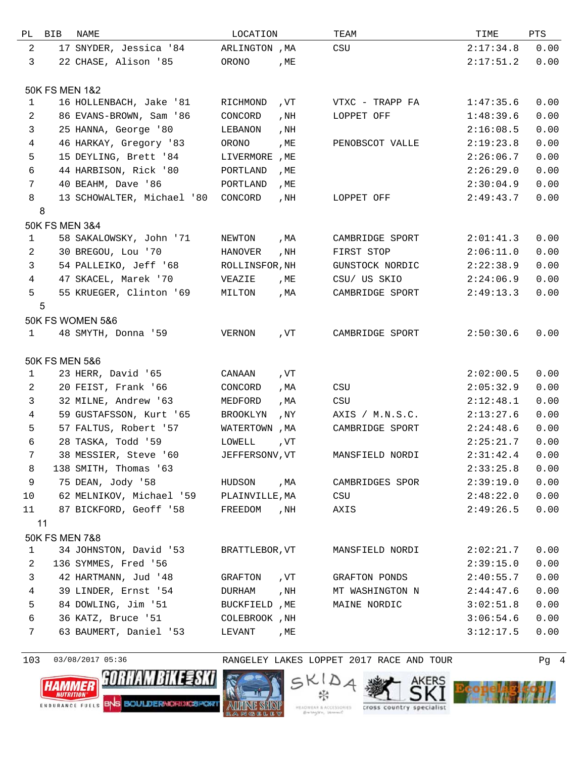| РL             | <b>BIB</b>     | NAME                        | LOCATION        |      | TEAM            | TIME      | PTS  |
|----------------|----------------|-----------------------------|-----------------|------|-----------------|-----------|------|
| 2              |                | 17 SNYDER, Jessica '84      | ARLINGTON , MA  |      | CSU             | 2:17:34.8 | 0.00 |
| 3              |                | 22 CHASE, Alison '85        | ORONO           | , ME |                 | 2:17:51.2 | 0.00 |
|                |                |                             |                 |      |                 |           |      |
|                | 50K FS MEN 1&2 |                             |                 |      |                 |           |      |
| $\mathbf{1}$   |                | 16 HOLLENBACH, Jake '81     | RICHMOND        | , VT | VTXC - TRAPP FA | 1:47:35.6 | 0.00 |
| $\overline{2}$ |                | 86 EVANS-BROWN, Sam '86     | CONCORD         | , NH | LOPPET OFF      | 1:48:39.6 | 0.00 |
| 3              |                | 25 HANNA, George '80        | LEBANON         | , NH |                 | 2:16:08.5 | 0.00 |
| $\overline{4}$ |                | 46 HARKAY, Gregory '83      | ORONO           | , ME | PENOBSCOT VALLE | 2:19:23.8 | 0.00 |
| 5              |                | 15 DEYLING, Brett '84       | LIVERMORE       | , ME |                 | 2:26:06.7 | 0.00 |
| 6              |                | 44 HARBISON, Rick '80       | PORTLAND        | , ME |                 | 2:26:29.0 | 0.00 |
| $7\phantom{.}$ |                | 40 BEAHM, Dave '86          | PORTLAND        | , ME |                 | 2:30:04.9 | 0.00 |
| 8              |                | 13 SCHOWALTER, Michael '80  | CONCORD         | , NH | LOPPET OFF      | 2:49:43.7 | 0.00 |
|                | 8              |                             |                 |      |                 |           |      |
|                | 50K FS MEN 3&4 |                             |                 |      |                 |           |      |
| 1              |                | 58 SAKALOWSKY, John '71     | NEWTON          | , MA | CAMBRIDGE SPORT | 2:01:41.3 | 0.00 |
| $\overline{2}$ |                | 30 BREGOU, Lou '70          | HANOVER         | , NH | FIRST STOP      | 2:06:11.0 | 0.00 |
| 3              |                | 54 PALLEIKO, Jeff '68       | ROLLINSFOR, NH  |      | GUNSTOCK NORDIC | 2:22:38.9 | 0.00 |
| 4              |                | 47 SKACEL, Marek '70        | VEAZIE          | , ME | CSU/ US SKIO    | 2:24:06.9 | 0.00 |
| 5              |                | 55 KRUEGER, Clinton '69     | MILTON          | , MA | CAMBRIDGE SPORT | 2:49:13.3 | 0.00 |
|                | 5              |                             |                 |      |                 |           |      |
|                |                | <b>50K FS WOMEN 5&amp;6</b> |                 |      |                 |           |      |
| 1              |                | 48 SMYTH, Donna '59         | VERNON          | , VT | CAMBRIDGE SPORT | 2:50:30.6 | 0.00 |
|                |                |                             |                 |      |                 |           |      |
|                | 50K FS MEN 5&6 |                             |                 |      |                 |           |      |
| $\mathbf{1}$   |                | 23 HERR, David '65          | CANAAN          | , VT |                 | 2:02:00.5 | 0.00 |
| 2              |                | 20 FEIST, Frank '66         | CONCORD         | , MA | CSU             | 2:05:32.9 | 0.00 |
| 3              |                | 32 MILNE, Andrew '63        | MEDFORD         | , MA | CSU             | 2:12:48.1 | 0.00 |
| $\overline{4}$ |                | 59 GUSTAFSSON, Kurt '65     | <b>BROOKLYN</b> | , NY | AXIS / M.N.S.C. | 2:13:27.6 | 0.00 |
| 5              |                | 57 FALTUS, Robert '57       | WATERTOWN, MA   |      | CAMBRIDGE SPORT | 2:24:48.6 | 0.00 |
| $\sqrt{6}$     |                | 28 TASKA, Todd '59          | LOWELL          | , VT |                 | 2:25:21.7 | 0.00 |
| 7              |                | 38 MESSIER, Steve '60       | JEFFERSONV, VT  |      | MANSFIELD NORDI | 2:31:42.4 | 0.00 |
| 8              |                | 138 SMITH, Thomas '63       |                 |      |                 | 2:33:25.8 | 0.00 |
| $\mathsf 9$    |                | 75 DEAN, Jody '58           | HUDSON          | , MA | CAMBRIDGES SPOR | 2:39:19.0 | 0.00 |
| 10             |                | 62 MELNIKOV, Michael '59    | PLAINVILLE, MA  |      | CSU             | 2:48:22.0 | 0.00 |
| 11             |                | 87 BICKFORD, Geoff '58      | FREEDOM         | , NH | AXIS            | 2:49:26.5 | 0.00 |
|                | 11             |                             |                 |      |                 |           |      |
|                | 50K FS MEN 7&8 |                             |                 |      |                 |           |      |
| 1              |                | 34 JOHNSTON, David '53      | BRATTLEBOR, VT  |      | MANSFIELD NORDI | 2:02:21.7 | 0.00 |
| 2              |                | 136 SYMMES, Fred '56        |                 |      |                 | 2:39:15.0 | 0.00 |
| 3              |                | 42 HARTMANN, Jud '48        | GRAFTON         | , VT | GRAFTON PONDS   | 2:40:55.7 | 0.00 |
| 4              |                | 39 LINDER, Ernst '54        | DURHAM          | , NH | MT WASHINGTON N | 2:44:47.6 | 0.00 |
| 5              |                | 84 DOWLING, Jim '51         | BUCKFIELD , ME  |      | MAINE NORDIC    | 3:02:51.8 | 0.00 |
| 6              |                | 36 KATZ, Bruce '51          | COLEBROOK , NH  |      |                 | 3:06:54.6 | 0.00 |
| 7              |                | 63 BAUMERT, Daniel '53      | LEVANT          | , ME |                 | 3:12:17.5 | 0.00 |
|                |                |                             |                 |      |                 |           |      |

103 03/08/2017 05:36 RANGELEY LAKES LOPPET 2017 RACE AND TOUR Pg 4